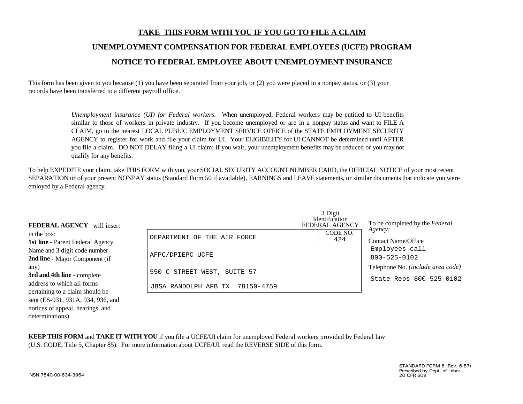# **TAKE THIS FORM WITH YOU IF YOU GO TO FILE A CLAIMUNEMPLOYMENT COMPENSATION FOR FEDERAL EMPLOYEES (UCFE) PROGRAM NOTICE TO FEDERAL EMPLOYEE ABOUT UNEMPLOYMENT INSURANCE**

This form has been given to you because (1) you have been separated from your job, or (2) you were placed in a nonpay status, or (3) your records have been transferred to a different payroll office.

> *Unemployment insurance (UI) for Federal workers.* When unemployed, Federal workers may be entitled to UI benefits similar to those of workers in private industry. If you become unemployed or are in a nonpay status and want to FILE A CLAIM, go to the nearest LOCAL PUBLIC EMPLOYMENT SERVICE OFFICE of the STATE EMPLOYMENT SECURITY AGENCY to register for work and file your claim for UI. Your ELIGIBILITY for UI CANNOT be determined until AFTER you file a claim. DO NOT DELAY filing a UI claim; if you wait, your unemployment benefits may be reduced or you may not qualify for any benefits.

To help EXPEDITE your claim, take THIS FORM with you, your SOCIAL SECURITY ACCOUNT NUMBER CARD, the OFFICIAL NOTICE of your most recent SEPARATION or of your present NONPAY status (Standard Form 50 if available), EARNINGS and LEAVE statements, or similar documents that indicate you were emloyed by a Federal agency.

| <b>FEDERAL AGENCY</b> will insert       |                                 | 3 Digit<br><b>Identification</b><br><b>FEDERAL AGENCY</b> | To be completed by the Federal    |
|-----------------------------------------|---------------------------------|-----------------------------------------------------------|-----------------------------------|
| in the box:                             | DEPARTMENT OF THE AIR FORCE     | CODE NO.                                                  | Agency:<br>Contact Name/Office    |
| <b>1st line</b> - Parent Federal Agency |                                 | 424                                                       |                                   |
| Name and 3 digit code number            | AFPC/DPIEPC UCFE                |                                                           | Employees call                    |
| 2nd line - Major Component (if          |                                 |                                                           | 800-525-0102                      |
| any)                                    | 550 C STREET WEST, SUITE 57     |                                                           | Telephone No. (include area code) |
| 3rd and 4th line - complete             |                                 |                                                           | State Reps 800-525-0102           |
| address to which all forms              | JBSA RANDOLPH AFB TX 78150-4759 |                                                           |                                   |
| pertaining to a claim should be         |                                 |                                                           |                                   |
| sent (ES-931, 931A, 934, 936, and       |                                 |                                                           |                                   |

**KEEP THIS FORM** and **TAKE IT WITH YOU** if you file a UCFE/UI claim for unemployed Federal workers provided by Federal law (U.S. CODE, Title 5, Chapter 85). For more information about UCFE/UI, read the REVERSE SIDE of this form.

determinations)

notices of appeal, hearings, and